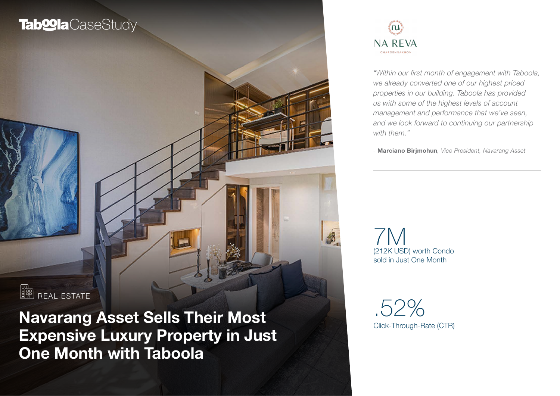# **Tab@la**CaseStudy



*"Within our first month of engagement with Taboola, we already converted one of our highest priced properties in our building. Taboola has provided us with some of the highest levels of account management and performance that we've seen, and we look forward to continuing our partnership with them."*

*-* Marciano Birjmohun*, Vice President, Navarang Asset*

(212K USD) worth Condo sold in Just One Month 7M

Click-Through-Rate (CTR) .52%

**REAL ESTATE** 

Navarang Asset Sells Their Most Expensive Luxury Property in Just One Month with Taboola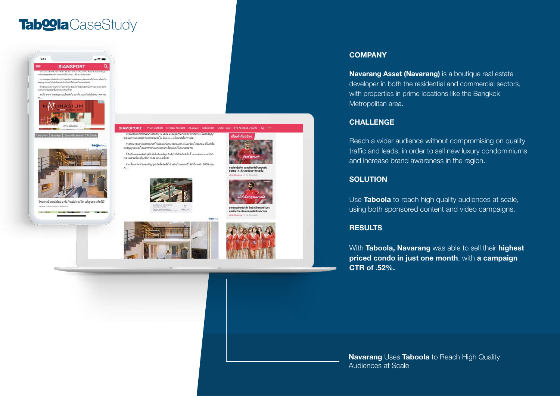## Tab<sup>oo</sup>la CaseStudy











การรักษาชุมกำลังตัวหลักเอาไว้ ย่อมเป็นงานเร่งต่วนอย่างที่ผมเชียนไปวันก่อน สโมสรไล่ ต่อสัญญานักและได้แล้วห้าหกคนก็เหมือนกับได้นักเละไดน่มาเสริมทีม

นี่ถึงเป็นเหมูออย่าตัดเพี่ยวทำในอักเครียล อัตโลในโซโลน์ในซีซี่นนี้ เพราะอันทะหมูลไปกับ ของนะประเบียนที่องขึ้นกว่าเลิน หลังแล้วได้จะ

ส่วน โม ชาลาท์ จะต่อสัญญาฉบับไหน่หรือไม่ อย่างไร พลเองก็ไม่สั่นใจระดับ 100% เช่น  $n$ 







under Anton una Komstellungsschr

ลิงใดย-21 สังเวยช่วยยาดิรายที่2



#### **COMPANY**

Navarang Asset (Navarang) is a boutique real estate developer in both the residential and commercial sectors, with properties in prime locations like the Bangkok Metropolitan area.

#### **CHALLENGE**

Reach a wider audience without compromising on quality traffic and leads, in order to sell new luxury condominiums and increase brand awareness in the region.

#### **SOLUTION**

Use **Taboola** to reach high quality audiences at scale, using both sponsored content and video campaigns.

#### **RESULTS**

With Taboola, Navarang was able to sell their highest priced condo in just one month, with a campaign CTR of .52%.

Navarang Uses Taboola to Reach High Quality Audiences at Scale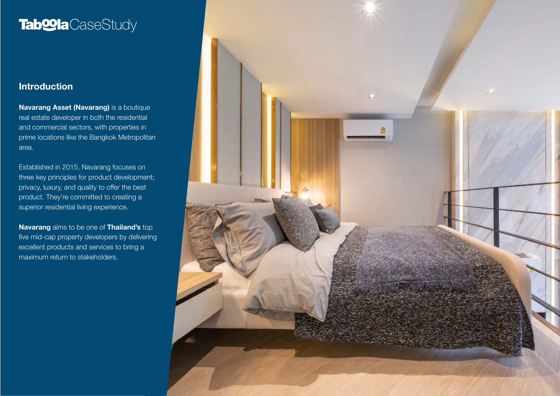# **Tab@la**CaseStudy

### Introduction

Navarang Asset (Navarang) is a boutique real estate developer in both the residential and commercial sectors, with properties in prime locations like the Bangkok Metropolitan area.

Established in 2015, Navarang focuses on three key principles for product development; privacy, luxury, and quality to offer the best product. They're committed to creating a superior residential living experience.

Navarang aims to be one of Thailand's top five mid-cap property developers by delivering excellent products and services to bring a maximum return to stakeholders.